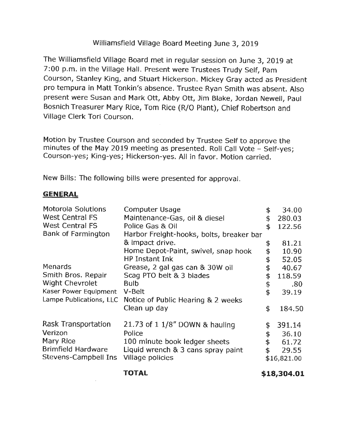# Williamsfield Village Board Meeting June 3, 2019

The Williamsfield Village Board met in regular session on June 3, 2019 at 7 :00 p.m. in the Village Hall. Present were Trustees Trudy Self, Pam Courson, Stanley King, and Stuart Hickerson. Mickey Gray acted as President pro tempura in Matt Tonkin's absence. Trustee Ryan Smith was absent. Also present were Susan and Mark Ott, Abby Ott, Jim Blake, Jordan Newell, Paul Bosnich Treasurer Mary Rice, Tom Rice (R/O Plant), Chief Robertson and Village Clerk Tori Courson.

Motion by Trustee Courson and seconded by Trustee Self to approve the minutes of the May 2019 meeting as presented. Roll Call Vote - Self-yes; Courson-yes; King-yes; Hickerson-yes. All in favor. Motion carried.

New Bills: The following bills were presented for approval.

### **GENERAL**

|                                        | TOTAL                                                               |          | \$18,304.01    |
|----------------------------------------|---------------------------------------------------------------------|----------|----------------|
| Stevens-Campbell Ins                   | Village policies                                                    |          | \$16,821.00    |
| Mary Rice<br><b>Brimfield Hardware</b> | 100 minute book ledger sheets<br>Liquid wrench & 3 cans spray paint | \$       | 61.72<br>29.55 |
| Verizon                                | Police                                                              | \$       | 36,10          |
| Rask Transportation                    | 21.73 of 1 1/8" DOWN & hauling                                      | \$       | 391.14         |
| Lampe Publications, LLC                | Notice of Public Hearing & 2 weeks<br>Clean up day                  | \$       | 184.50         |
| Kaser Power Equipment                  | V-Belt                                                              | \$       | 39.19          |
| <b>Wight Chevrolet</b>                 | <b>Bulb</b>                                                         | \$       | .80            |
| Smith Bros. Repair                     | Scag PTO belt & 3 blades                                            | \$       | 118.59         |
| Menards                                | Grease, 2 gal gas can & 30W oil                                     | \$       | 40.67          |
|                                        | Home Depot-Paint, swivel, snap hook<br><b>HP Instant Ink</b>        | \$<br>\$ | 10.90<br>52.05 |
|                                        | & impact drive.                                                     | \$       | 81.21          |
| Bank of Farmington                     | Harbor Freight-hooks, bolts, breaker bar                            |          |                |
| West Central FS                        | Police Gas & Oil                                                    | \$       | 122.56         |
| <b>West Central FS</b>                 | Maintenance-Gas, oil & diesel                                       | \$       | 280.03         |
| Motorola Solutions                     | Computer Usage                                                      | \$       | 34.00          |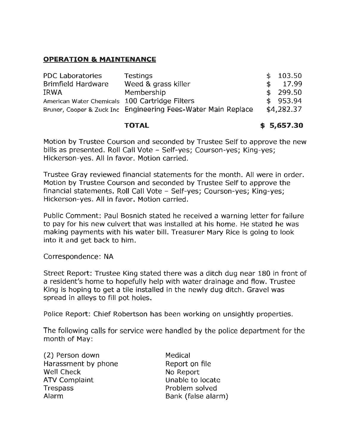## **OPERATION & MAINTENANCE**

| <b>PDC Laboratories</b>                        | <b>Testings</b>                                               |    | \$103.50   |
|------------------------------------------------|---------------------------------------------------------------|----|------------|
| <b>Brimfield Hardware</b>                      | Weed & grass killer                                           | S. | 17.99      |
| <b>IRWA</b>                                    | Membership                                                    |    | \$299.50   |
| American Water Chemicals 100 Cartridge Filters |                                                               |    | \$953.94   |
|                                                | Bruner, Cooper & Zuck Inc Engineering Fees-Water Main Replace |    | \$4,282.37 |

### **TOTAL** \$ **5,657.30**

Motion by Trustee Courson and seconded by Trustee Self to approve the new bills as presented. Roll Call Vote - Self-yes; Courson-yes; King-yes; Hickerson-yes. All in favor. Motion carried.

Trustee Gray reviewed financial statements for the month. All were in order. Motion by Trustee Courson and seconded by Trustee Self to approve the financial statements. Roll Call Vote - Self-yes; Courson-yes; King-yes; Hickerson-yes. All in favor. Motion carried.

Public Comment: Paul Bosnich stated he received a warning letter for failure to pay for his new culvert that was installed at his home. He stated he was making payments with his water bill. Treasurer Mary Rice is going to look into it and get back to him.

Correspondence: NA

Street Report: Trustee King stated there was a ditch dug near 180 in front of a resident's home to hopefully help with water drainage and flow. Trustee King is hoping to get a tile installed in the newly dug ditch. Gravel was spread in alleys to fill pot holes.

Police Report: Chief Robertson has been working on unsightly properties.

The following calls for service were handled by the police department for the month of May:

| (2) Person down      |
|----------------------|
| Harassment by phone  |
| <b>Well Check</b>    |
| <b>ATV Complaint</b> |
| <b>Trespass</b>      |
| Alarm                |

Medical Report on file No Report Unable to locate Problem solved Bank (false alarm)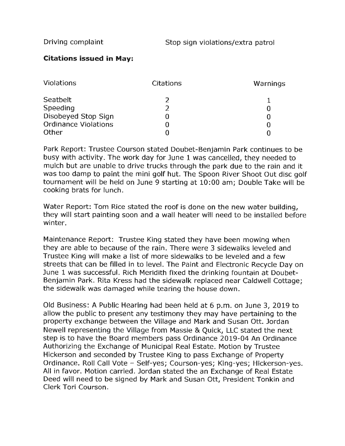## **Citations issued in May:**

| Violations                  | Citations | Warnings |
|-----------------------------|-----------|----------|
| Seatbelt                    |           |          |
| Speeding                    |           |          |
| Disobeyed Stop Sign         |           |          |
| <b>Ordinance Violations</b> |           |          |
| Other                       |           |          |

Park Report: Trustee Courson stated Doubet-Benjamin Park continues to be busy with activity. The work day for June 1 was cancelled, they needed to mulch but are unable to drive trucks through the park due to the rain and it was too damp to paint the mini golf hut. The Spoon River Shoot Out disc golf tournament will be held on June 9 starting at 10:00 am; Double Take will be cooking brats for lunch.

Water Report: Tom Rice stated the roof is done on the new water building, they will start painting soon and a wall heater will need to be installed before winter.

Maintenance Report: Trustee King stated they have been mowing when they are able to because of the rain. There were 3 sidewalks leveled and Trustee King will make a list of more sidewalks to be leveled and a few streets that can be filled in to level. The Paint and Electronic Recycle Day on June 1 was successful. Rich Meridith fixed the drinking fountain at Doubet-Benjamin Park. Rita Kress had the sidewalk replaced near Caldwell Cottage; the sidewalk was damaged while tearing the house down.

Old Business: A Public Hearing had been held at 6 p.m. on June 3, 2019 to allow the public to present any testimony they may have pertaining to the property exchange between the Village and Mark and Susan Ott. Jordan Newell representing the Village from Massie & Quick, LLC stated the next step is to have the Board members pass Ordinance 2019-04 An Ordinance Authorizing the Exchange of Municipal Real Estate. Motion by Trustee Hickerson and seconded by Trustee King to pass Exchange of Property Ordinance. Roll Call Vote - Self-yes; Courson-yes; King-yes; Hickerson-yes. All in favor. Motion carried. Jordan stated the an Exchange of Real Estate Deed will need to be signed by Mark and Susan Ott, President Tonkin and Clerk Tori Courson.